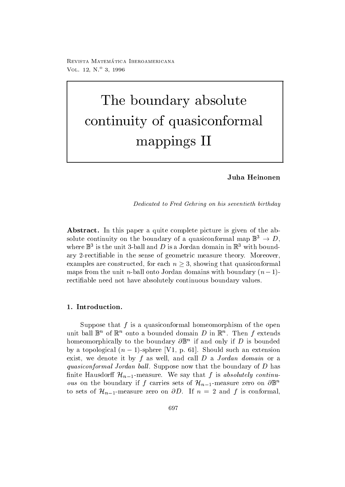100 Thomas - Iberoamericana - Iberoamericana - Iberoamericana - Iberoamericana - Iberoamericana - Iberoamerica VOL  $12, N = 3, 1990$ 

# The boundary absolute continuity of the continuity of the continuity of the continuity of the continuity of the continuity of the continuity of the continuity of the continuity of the continuity of the continuity of the continuity of the contin mappings II

# Juha Heinonen

Dedicated to Fred Gehring on his seventieth birthday

 $\mathbf{I}$  is paper a quite complete picture is given of the absolute continuity on the boundary of a quasiconformal map  $\mathbb{B}^{\circ} \to D$ , where  $\mathbb D$  is the unit 5-ball and  $D$  is a Jordan domain in  $\mathbb R$  with boundary -rectiable in the sense of geometric measure theory Moreover examples are constructed, for each  $n \geq 3$ , showing that quasiconformal  $\max_{\theta}$  from the unit *n*-ball onto Jordan domains with boundary  $(n-1)$ rectifiable need not have absolutely continuous boundary values.

Suppose that  $f$  is a quasiconformal homeomorphism of the open unit ball  $\mathbb{D}^n$  of  $\mathbb{R}^n$  onto a bounded domain  $D$  in  $\mathbb{R}^n$ . Then f extends homeomorphically to the boundary  $\mathcal{O} \mathbb{D}^+$  if and only if  $D$  is bounded by a topological  $(n - 1)$ -sphere  $\{v_1, v_2, v_3\}$ . Should such an extension exist, we denote it by  $f$  as well, and call  $D$  a Jordan domain or a  $q$ uasiconformal Jordan ball. Duppose now that the boundary of D has finite Hausdorff  $\mathcal{H}_{n-1}$ -measure. We say that f is absolutely continu*ous* on the boundary if f carries sets of  $\mathcal{H}_{n-1}$ -measure zero on  $\partial \mathbb{B}^n$ to sets of  $\mathcal{H}_{n-1}$ -measure zero on  $\partial D$ . If  $n = 2$  and f is conformal,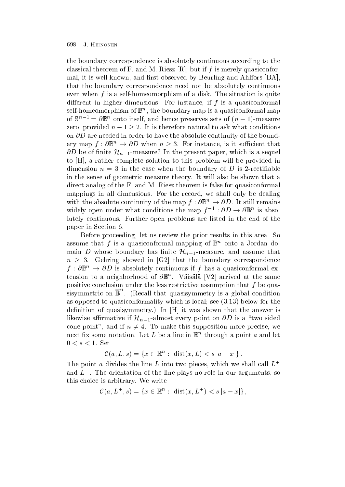the boundary correspondence is absolutely continuous according to the classical theorem of F. and M. Riesz  $[R]$ ; but if f is merely quasiconformal, it is well known, and first observed by Beurling and Ahlfors [BA]. that the boundary correspondence need not be absolutely continuous even when f is a self-field of a disk The situation is a self-field of a disk The situation is quite the situation is quite the situation is quite the situation is quite the situation is quite the situation is quite the si different in higher dimensions. For instance, if  $f$  is a quasiconformal self-nomeomorphism of  $\mathbb{D}^n$  , the boundary map is a quasiconformal map of  $S^+ = \sigma_{\mathbb{D}}$  onto itself, and hence preserves sets of  $(n-1)$ -measure zero, provided  $n-1\geq 2$ . It is therefore natural to ask what conditions on -D are needed in order to have the absolute continuity of the boundary map  $f: \partial \mathbb{B}^n \to \partial D$  when  $n \geq 3$ . For instance, is it sufficient that  $\partial D$  be of finite  $\mathcal{H}_{n-1}$ -measure? In the present paper, which is a sequel to [H], a rather complete solution to this problem will be provided in dimension n  $\blacksquare$ in the sense of geometric measure theory. It will also be shown that a direct analog of the F. and M. Riesz theorem is false for quasiconformal mappings in all dimensions. For the record, we shall only be dealing with the absolute continuity of the map  $f: \partial \mathbb{B}^n \to \partial D$ . It still remains widely open under what conditions the map  $f^{-}: \partial D \to \partial \mathbb{B}^n$  is absolutely continuous Further open problems are listed in the end of the paper in Section 6.

Before proceeding, let us review the prior results in this area. So assume that f is a quasiconformal mapping of  $\mathbb{B}^n$  onto a Jordan domain D whose boundary has finite  $\mathcal{H}_{n-1}$ -measure, and assume that  $n \geq 3$ . Gehring showed in  $|G_2|$  that the boundary correspondence  $f : \partial \mathbb{B}^n \to \partial D$  is absolutely continuous if f has a quasiconformal extension to a neighborhood of  $\sigma$   $\mathbb{D}^{\infty}$ . Vaisala  $|VZ|$  arrived at the same positive conclusion under the less restrictive assumption that  $f$  be quasisymmetric on  $\mathbb{B}^n$ . (Recall that quasisymmetry is a global condition as operations to quasiconformality which is local see . In the see  $\mathcal{A}$ denition of  $\mathcal{U}$  and  $\mathcal{U}$  is a shown that the answer is was shown that the answer is the answer is a shown that the answer is a shown that the answer is a shown that the answer is a shown that the answer is a shown likewise affirmative if  $\mathcal{H}_{n-1}$ -almost every point on  $\partial D$  is a "two sided cone point", and if  $n \neq 4$ . To make this supposition more precise, we  $\max$  iix some notation. Let  $L$  be a line in  $\mathbb{R}^+$  through a point  $a$  and let  $0 < s < 1$ . Set

$$
\mathcal{C}(a, L, s) = \{x \in \mathbb{R}^n : \; \text{dist}(x, L) < s \, |a - x| \} \, .
$$

The point a divides the line L into two pieces, which we shall call  $L^+$ and  $L$  ). The orientation of the line plays no role in our arguments, so this choice is arbitrary. We write

$$
\mathcal{C}(a, L^+, s) = \{x \in \mathbb{R}^n : \text{ dist}(x, L^+) < s \, |a - x| \},
$$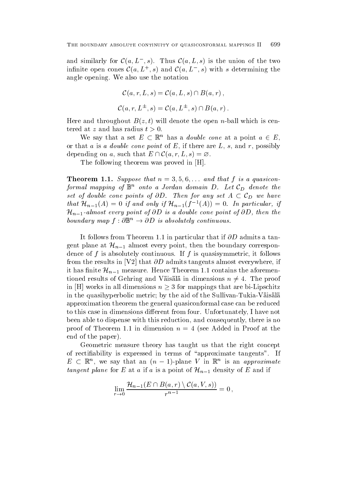and similarly for  $\mathcal{C}(a, L^-, s)$ . Thus  $\mathcal{C}(a, L, s)$  is the union of the two infinite open cones  $\mathcal{C}(a, L^+, s)$  and  $\mathcal{C}(a, L^-, s)$  with s determining the angle opening. We also use the notation

$$
\mathcal{C}(a,r,L,s) = \mathcal{C}(a,L,s) \cap B(a,r),
$$
  

$$
\mathcal{C}(a,r,L^{\pm},s) = \mathcal{C}(a,L^{\pm},s) \cap B(a,r).
$$

Here and throughout Bz t will denote the open n-ball which is centered at z and has radius  $t > 0$ .

We say that a set  $E \subset \mathbb{R}^n$  has a *double cone* at a point  $a \in E$ , or that a is a *double cone point* of  $E$ , if there are  $L$ ,  $s$ , and  $r$ , possibly depending on a, such that  $E \cap C(a, r, L, s) = \emptyset$ .

The following theorem was proved in [H].

Theorem -- Suppose that n  and that f is <sup>a</sup> quasiconformal mapping of  $\mathbb{B}^n$  onto a Jordan domain D. Let  $\mathcal{C}_D$  denote the set of double cone points of  $\partial D$ . Then for any set  $A \subset \mathcal{C}_D$  we have that  $\mathcal{H}_{n-1}(A) = 0$  if and only if  $\mathcal{H}_{n-1}(f^{-1}(A)) = 0$ . In particular, if  $\mathcal{H}_{n-1}$ -almost every point of  $\partial D$  is a double cone point of  $\partial D$ , then the boundary map  $f: \mathcal{O} \mathbb{B}^n \to \mathcal{O} \mathbb{D}$  is absolutely continuous.

It follows from Theorem in particular that if -D admits a tangent plane at  $\mathcal{H}_{n-1}$  almost every point, then the boundary correspondence of  $f$  is absolutely continuous. If  $f$  is quasisymmetric, it follows from the results in V
that -D admits tangents almost everywhere if it has finite  $\mathcal{H}_{n-1}$  measure. Hence Theorem 1.1 contains the aforementioned results of Gehring and Väisälä in dimensions  $n \neq 4$ . The proof in |H| works in all dimensions  $n \geq 3$  for mappings that are bi-Lipschitz in the quasihyperbolic metric by the aid of the Sullivan-Tukia-Vaisala approximation theorem the general quasiconformal case can be reduced to this case in dimensions different from four. Unfortunately, I have not been able to dispense with this reduction, and consequently, there is no proof of Theorem 1.1 in dimension  $n = 4$  (see Added in Proof at the end of the paper

Geometric measure theory has taught us that the right concept of rectifiability is expressed in terms of "approximate tangents". If  $E \subset \mathbb{R}^n$ , we say that an  $(n-1)$ -plane V in  $\mathbb{R}^n$  is an approximate tangent plane for E at a if a is a point of  $\mathcal{H}_{n-1}$  density of E and if

$$
\lim_{r\to 0}\frac{\mathcal H_{n-1}(E\cap B(a,r)\setminus \mathcal C(a,V,s))}{r^{n-1}}=0\,,
$$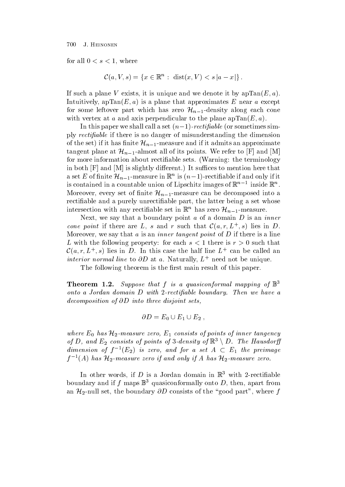for all  $0 < s < 1$ , where

$$
\mathcal{C}(a,V,s) = \{x \in \mathbb{R}^n : \operatorname{dist}(x,V) < s \left| a - x \right| \}.
$$

If such a plane V exists, it is unique and we denote it by  $apTan(E, a)$ . Intuitively apTanE a is a plane that approximates E near a except for some leftover part which has zero  $\mathcal{H}_{n-1}$ -density along each cone with vertex at a and axis perpendicular to the planet appearing  $\sim$ 

In this paper we shall call a set  $(n-1)$  -rectifiable (or somethines simply *rectifiable* if there is no danger of misunderstanding the dimension of the set) if it has finite  $\mathcal{H}_{n-1}$ -measure and if it admits an approximate tangent plane at  $\mathcal{H}_{n-1}$ -almost all of its points. We refer to |F| and |M| for more information about rectifiable sets. (Warning: the terminology in both Fig. , and M is slightly different to mention here that  $\mathbf{I}$ a set E of finite  $\mathcal{H}_{n-1}$ -measure in  $\mathbb{R}^n$  is  $(n-1)$ -rectifiable if and only if it is contained in a countable union of Lipschitz images of  $\mathbb{R}^n$  - inside  $\mathbb{R}^n$ . Moreover, every set of finite  $\mathcal{H}_{n-1}$ -measure can be decomposed into a rectifiable and a purely unrectifiable part, the latter being a set whose intersection with any rectifiable set in  $\mathbb{R}^n$  has zero  $\mathcal{H}_{n-1}$ -measure.

Next, we say that a boundary point  $a$  of a domain  $D$  is an *inner* cone point if there are L, s and r such that  $\mathcal{C}(a, r, L^+, s)$  lies in D. Moreover, we say that  $a$  is an *inner tangent point* of  $D$  if there is a line L with the following property: for each  $s < 1$  there is  $r > 0$  such that  $\mathcal{C}(a, r, L^+, s)$  lies in D. In this case the half line  $L^+$  can be called an *interior normal tine* to  $\partial D$  at a. Naturally,  $L$  - need not be unique.

The following theorem is the first main result of this paper.

**I Heorem 1.2.** Suppose that f is a quasiconformal mapping of  $\mathbb{D}^+$ onto <sup>a</sup> Jordan domain D with-rectiable boundary Then we have <sup>a</sup> decomposition of  $\sigma$  and the distortion sets sets to the sets of the sets of the sets of the sets of the sets of the sets of the sets of the sets of the sets of the sets of the sets of the sets of the sets of the sets of

$$
\partial D = E_0 \cup E_1 \cup E_2 ,
$$

where  $E_0$  has  $\mathcal{H}_2$ -measure zero,  $E_1$  consists of points of inner tangency of D, and  $E_2$  consists of points of 3-density of  $\mathbb{R}^3 \setminus D$ . The Hausdorff dimension of  $f^{-1}(E_2)$  is zero, and for a set  $A \subset E_1$  the preimage  $f^{-1}(A)$  has  $\mathcal{H}_2$ -measure zero if and only if A has  $\mathcal{H}_2$ -measure zero.

In other words, if  $D$  is a Jordan domain in  $\mathbb R$  with  $\mathbb Z$ -rectinable boundary and if  $f$  maps  $\mathbb D$  quasiconformally onto  $D$ , then, apart from an  $\mathcal{H}_2$ -null set, the boundary  $\partial D$  consists of the "good part", where  $f$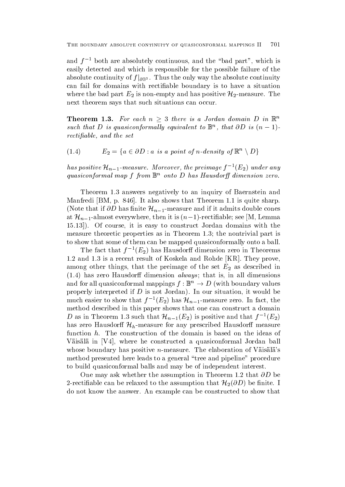and f - both are absolutely continuous, and the -bad part , which is easily detected and which is responsible for the possible failure of the absolute continuity of  $f|_{\partial \mathbb{B}^3}$  . Thus the only way the absolute continuity can fail for domains with rectifiable boundary is to have a situation where the bad part  $E_2$  is non-empty and has positive  $\mathcal{H}_2$ -measure. The next theorem says that such situations can occur

**Theorem 1.3.** For each  $n \geq 3$  there is a Jordan domain D in  $\mathbb{R}^n$ such that D is quasiconformally equivalent to  $\mathbb{D}^n$ , that OD is  $(n-1)$ rection and the set of the set of the set of the set of the set of the set of the set of the set of the set of

(1.4) 
$$
E_2 = \{a \in \partial D : a \text{ is a point of } n\text{-density of } \mathbb{R}^n \setminus D\}
$$

has positive  $\mathcal{H}_{n-1}$ -measure. Moreover, the preimage  $f^{-1}(E_2)$  under any  $quasiconformal map$  f from  $\mathbb{D}^+$  onto  $D$  has Hausdorff atmension zero.

Theorem 1.3 answers negatively to an inquiry of Baernstein and Manfredi  $[BM, p. 846]$ . It also shows that Theorem 1.1 is quite sharp. (Note that if  $\partial D$  has finite  $\mathcal{H}_{n-1}$ -measure and if it admits double cones at  $\mathcal{H}_{n-1}$ -almost everywhere, then it is  $(n-1)$ -rectifiable; see |M, Lemma Of course it is easy to construct Jordan domains with the measure theoretic properties as in Theorem 1.3; the nontrivial part is to show that some of them can be mapped quasiconformally onto a ball

The fact that  $f^{-}(E_2)$  has Hausdorn dimension zero in Theorems  $1.2$  and  $1.3$  is a recent result of Koskela and Rohde [KR]. They prove, among other things, that the preimage of the set  $E_2$  as described in has zero Hausdor dimension always that is in all dimensions and for all quasiconformal mappings  $f : \mathbb{B}^n \to D$  (with boundary values properly interpreted in D is not Jordan properly interpreted in the situation is a situation in the second interpreted in the second interpreted in the second interpreted in the second interpreted in the second interpreted much easier to show that  $f^{-1}(E_2)$  has  $\mathcal{H}_{n-1}$ -measure zero. In fact, the method described in this paper shows that one can construct a domain D as in Theorem 1.3 such that  $\mathcal{H}_{n-1}(E_2)$  is positive and that  $f^{-1}(E_2)$ has zero Hausdorff  $\mathcal{H}_h$ -measure for any prescribed Hausdorff measure function  $h$ . The construction of the domain is based on the ideas of Väisälä in [V4], where he constructed a quasiconformal Jordan ball whose boundary measure positive is measured to measure the elaboration of values and  $\sim$ method presented here leads to a general "tree and pipeline" procedure to build quasiconformal balls and may be of independent interest

One may ask whether the assumption in Theorem as  $\sim$ 2-rectifiable can be relaxed to the assumption that  $\mathcal{H}_2(\partial D)$  be finite. I do not know the answer. An example can be constructed to show that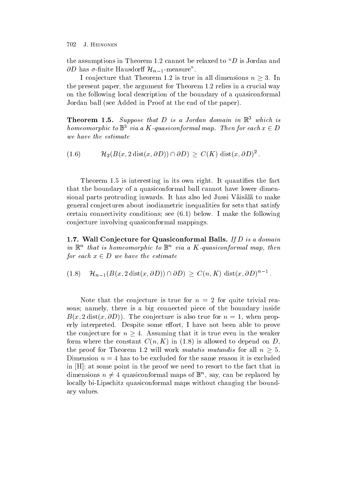the assumptions in Theorem 1.2 cannot be relaxed to " $D$  is Jordan and  $\partial D$  has  $\sigma$ -finite Hausdorff  $\mathcal{H}_{n-1}$ -measure".

I conjecture that Theorem 1.2 is true in all dimensions  $n \geq 3$ . In the present paper, the argument for Theorem  $1.2$  relies in a crucial way on the following local description of the boundary of a quasiconformal Jordan ball see Added in Proof at the end of the paper

**Theorem 1.3.** Suppose that D is a Jordan domain in  $\mathbb{R}$  which is homeomorphic to  $\mathbb{B}^3$  via a K-quasiconformal map. Then for each  $x \in D$ 

 $(1.6)$  $\mathcal{H}_2(B(x, 2\operatorname{dist}(x, \partial D)) \cap \partial D) \geq C(K) \operatorname{dist}(x, \partial D)^2$ .

Theorem 1.5 is interesting in its own right. It quantifies the fact that the boundary of a quasiconformal ball cannot have lower dimensional parts protruding inwards. It has also led Jussi Väisälä to make general conjectures about isodiametric inequalities for sets that satisfy continue connectivity conditions see (0.1) we have a matrix see all  $\Delta$ conjecture involving quasiconformal mappings

**1.1.** Wall Conjecture for Quasiconformal Balls. If D is a domain  $\mathcal{U}$  in  $\mathbb{R}^n$  that is nomeomorphic to  $\mathbb{D}^n$  via a  $\mathbf{\Lambda}$  -quasiconformal map, then for each  $x \in D$  we have the estimate

 $(1.8)$  $\mathcal{H}_{n-1}(B(x, 2\operatorname{dist}(x, \partial D)) \cap \partial D) \geq C(n, K) \operatorname{dist}(x, \partial D)^{n-1}$ .

Note that the conjecture is true for  $n = 2$  for quite trivial reasons; namely, there is a big connected piece of the boundary inside  $\mathcal{L}$  , and the conjecture is also true for the contract of the conjecture for  $\mathcal{L}$ erly interpreted. Despite some effort, I have not been able to prove the conjecture for  $n \geq 4$ . Assuming that it is true even in the weaker for all  $\alpha$  is allowed to depend on  $\alpha$  is allowed to depend on  $\alpha$  . It allowed the position of  $\alpha$ the proof for Theorem 1.2 will work *mutatis mutandis* for all  $n \geq 5$ . Dimension  $n = 4$  has to be excluded for the same reason it is excluded in  $[H]$ : at some point in the proof we need to resort to the fact that in dimensions  $n \neq 4$  quasiconformal maps of  $\mathbb{B}^n$ , say, can be replaced by locally bi-Lipschitz quasiconformal maps without changing the boundary values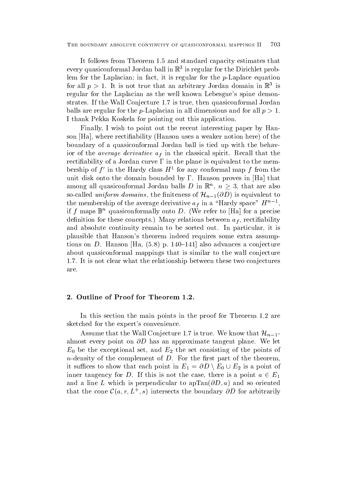The boundary absolute continuity of quasiconformal mappings II

It follows from Theorem 1.5 and standard capacity estimates that every quasiconformal Jordan ball in <sup>R</sup> is regular for the Dirichlet problem for the Laplacian in fact it is regular for the p-Laplace equation for an  $p > 1$ . It is not true that an arbitrary Jordan domain in  $\mathbb R$  is regular for the Laplacian as the well known Lebesgue's spine demonstrates. If the Wall Conjecture 1.7 is true, then quasiconformal Jordan balls are regular for the p-Laplacian in all dimensions and for all p I thank Pekka Koskela for pointing out this application

Finally, I wish to point out the recent interesting paper by Hanson Hanson uses a weaker notion here rectified the rectificity Hanson and the weaker notion here is a weaker no boundary of a quasiconformal Jordan ball is tied up with the behavior of the average derivative af in the classical spirit Recall that the rectifiability of a Jordan curve  $\Gamma$  in the plane is equivalent to the membership of  $f$  in the Hardy class  $H^-$  for any comormal map  $f$  from the unit disk onto the domain bounded by  $\Gamma$ . Hanson proves in [Ha] that among all quasiconformal Jordan balls D in  $\mathbb{R}^n$ ,  $n \geq 3$ , that are also so-called *uniform domains*, the finiteness of  $\mathcal{H}_{n-1}(\partial D)$  is equivalent to the membership of the average derivative  $a_f$  in a  $\pi$  Hardy space  $|H^+-|$ , the contract of the contract of the contract of the contract of the contract of the contract of the contract of if f maps  $\mathbb{B}^n$  quasiconformally onto D. (We refer to [Ha] for a precise denimition for the set of the set of  $\mu$  and  $f$  is the set of the set of the set of  $f$  is a relationship set of  $f$ and absolute continuity remain to be sorted out. In particular, it is plausible that Hanson's theorem indeed requires some extra assumptions on D is continued to the following the continues and the conjectures and the conjectures and the conjectures of about quasiconformal mappings that is similar to the wall conjecture 1.7. It is not clear what the relationship between these two conjectures are

In this section the main points in the proof for Theorem 1.2 are sketched for the expert's convenience.

Assume that the Wall Conjecture 1.7 is true. We know that  $\mathcal{H}_{n-1}$ almost even point on  $\sigma=$  and the proximate throughout planets the and  $E_0$  be the exceptional set, and  $E_2$  the set consisting of the points of n-density of the complement of D For the rst part of the theorem it suffices to show that each point in  $E_1 = \partial D \setminus E_0 \cup E_2$  is a point of inner tangency for D. If this is not the case, there is a point  $a \in E_1$ and a line L which is perpendicular to aptendicular to a management of the society of the society of the society that the cone  $\mathcal{C}(a, r, L^+, s)$  intersects the boundary  $\partial D$  for arbitrarily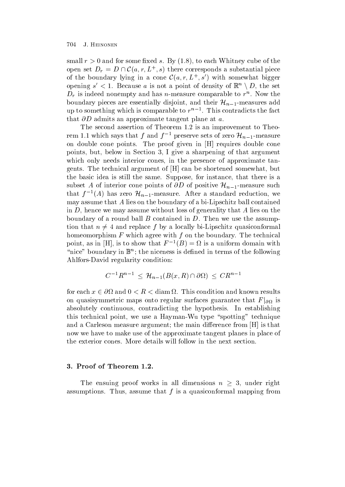small resolution and for some xed s By and for the some xed s By and the some some second the some second the open set  $D_r = D \cap \mathcal{C}(a, r, L^+, s)$  there corresponds a substantial piece of the boundary lying in a cone  $\mathcal{C}(a, r, L^+, s')$  with somewhat bigger opening  $s' < 1$ . Because a is not a point of density of  $\mathbb{R}^n \setminus D$ , the set  $D_r$  is indeed nonempty and has n-measure comparable to  $r^{\ldots}$  . Now the boundary pieces are essentially disjoint, and their  $\mathcal{H}_{n-1}$ -measures add up to something which is comparable to  $r-1$ . This contradicts the fact that - D admits and approximate tangent plane at a group at a group of the second plane at a group of the second plane at a group of the second plane at a group of the second plane at a group of the second plane at a group

The second assertion of Theorem 1.2 is an improvement to Theorem 1.1 which says that f and  $f^{-1}$  preserve sets of zero  $\mathcal{H}_{n-1}$ -measure on double cone points. The proof given in [H] requires double cone points, but, below in Section 3, I give a sharpening of that argument which only needs interior cones, in the presence of approximate tangents. The technical argument of [H] can be shortened somewhat, but the basic idea is still the same. Suppose, for instance, that there is a subset A of interior cone points of  $\partial D$  of positive  $\mathcal{H}_{n-1}$ -measure such that  $f^{-1}(A)$  has zero  $\mathcal{H}_{n-1}$ -measure. After a standard reduction, we may assume that A lies on the boundary of a bi-Lipschitz ball contained in  $D$ , hence we may assume without loss of generality that  $A$  lies on the boundary of a round ball  $B$  contained in  $D$ . Then we use the assumption that  $n \neq 4$  and replace f by a locally bi-Lipschitz quasiconformal homeomorphism  $F$  which agree with  $f$  on the boundary. The technical point, as in  $[\Pi]$ , is to show that  $F^{-1}(D) = \Omega$  is a uniform domain with  $\alpha$  ince aboundary in  $\mathbb{D}^n$ ; the niceness is defined in terms of the following Ahlfors-David regularity condition

$$
C^{-1}R^{n-1} \leq \mathcal{H}_{n-1}(B(x,R) \cap \partial \Omega) \leq CR^{n-1}
$$

for each  $x \in \partial \Omega$  and  $0 < R <$  diam  $\Omega$ . This condition and known results on quasisymmetric maps onto regular surfaces guarantee that  $F|_{\partial\Omega}$  is absolutely continuous, contradicting the hypothesis. In establishing this technical point we use a Hayman-Hayman-Technique spotting techniques and a Carleson measure argument; the main difference from [H] is that now we have to make use of the approximate tangent planes in place of the exterior cones. More details will follow in the next section.

The ensuing proof works in all dimensions  $n \geq 3$ , under right assumptions. Thus, assume that  $f$  is a quasiconformal mapping from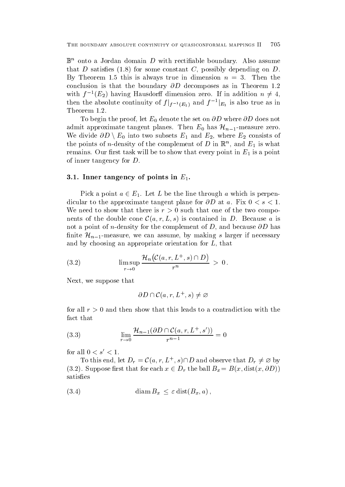$\mathbb{B}^n$  onto a Jordan domain D with rectifiable boundary. Also assume that D satisfaction  $\mathbf{f}$  satisfaction  $\mathbf{f}$  and  $\mathbf{f}$  and  $\mathbf{f}$  and  $\mathbf{f}$  and  $\mathbf{f}$  and  $\mathbf{f}$  and  $\mathbf{f}$  and  $\mathbf{f}$  and  $\mathbf{f}$  and  $\mathbf{f}$  and  $\mathbf{f}$  and  $\mathbf{f}$  and  $\mathbf{f}$  and  $\mathbf{f}$  a By Theorem 1.5 this is always true in dimension  $n = 3$ . Then the conclusion isthat the boundary -D decomposes as in Theorem with  $f^{-1}(E_2)$  having Hausdorff dimension zero. If in addition  $n \neq 4$ , then the absolute continuity of  $f|_{f^{-1}(E_1)}$  and  $f^{-1}|_{E_1}$  is also true as in Theorem 1.2.

 $\Omega$  begin the proof let  $\Omega$  whereadmit approximate tangent planes. Then  $E_0$  has  $\mathcal{H}_{n-1}$ -measure zero. We divide  $\partial D \setminus E_0$  into two subsets  $E_1$  and  $E_2$ , where  $E_2$  consists of the points of *n*-density of the complement of D in  $\mathbb{R}^n$ , and  $E_1$  is what remains Our rst task will be to show that every point in E-M  $\mu$  . If the show that every point in E-M  $\mu$ of inner tangency for  $D$ .

### -- Inner tangency of points in E--

Pick a point  $a \in E_1$ . Let L be the line through a which is perpendicular to the approximate tangent plane for -D at a Fix s We need to show that there is  $r > 0$  such that one of the two components of the double cone  $\mathcal{C}(a, r, L, s)$  is contained in D. Because a is not a point of n-density for the completence of D and because  $\sim$ finite  $\mathcal{H}_{n-1}$ -measure, we can assume, by making s larger if necessary and by choosing an appropriate orientation for  $L$ , that

(3.2) 
$$
\limsup_{r \to 0} \frac{\mathcal{H}_n(\mathcal{C}(a,r,L^+,s) \cap D)}{r^n} > 0.
$$

Next, we suppose that

$$
\partial D \cap \mathcal{C}(a,r,L^+,s) \neq \varnothing
$$

for all  $r > 0$  and then show that this leads to a contradiction with the fact that

(3.3) 
$$
\lim_{r \to 0} \frac{\mathcal{H}_{n-1}(\partial D \cap C(a, r, L^+, s'))}{r^{n-1}} = 0
$$

for all  $0 < s' < 1$ .

To this end, let  $D_r = \mathcal{C}(a, r, L^+, s) \cap D$  and observe that  $D_r \neq \emptyset$  by  $(3.2)$ . Suppose first that for each  $x \in D_r$  the ball  $B_x = B(x, dist(x, \partial D))$ satisfies

(3.4) 
$$
\text{diam}\, B_x \leq \varepsilon \, \text{dist}(B_x, a)\,,
$$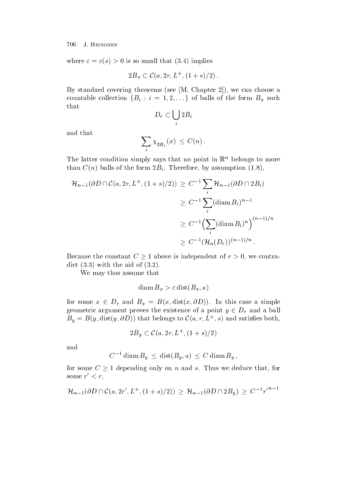where s is so small that implies

$$
2B_x \subset \mathcal{C}(a, 2r, L^+, (1+s)/2)
$$
.

 $\mathcal{L}$  standard covering theorems see M Chapter  $\mathcal{L}$  and  $\mathcal{L}$  are choose and  $\mathcal{L}$ countable collection  $\{B_i : i = 1, 2, \ldots\}$  of balls of the form  $B_x$  such that

$$
D_r\subset \bigcup_i 2B_i
$$

and that

$$
\sum_i \chi_{2B_i}(x) \, \leq \, C(n) \, .
$$

The latter condition simply says that no point in  $\mathbb{R}^n$  belongs to more that contains of the form Bi Therefore by a structure by assumption by assumption  $\mathbf{b}$ 

$$
\mathcal{H}_{n-1}(\partial D \cap \mathcal{C}(a, 2r, L^+, (1+s)/2)) \ge C^{-1} \sum_{i} \mathcal{H}_{n-1}(\partial D \cap 2B_i)
$$
  
\n
$$
\ge C^{-1} \sum_{i} (\operatorname{diam} B_i)^{n-1}
$$
  
\n
$$
\ge C^{-1} \Biggl(\sum_{i} (\operatorname{diam} B_i)^n\Biggr)^{(n-1)/n}
$$
  
\n
$$
\ge C^{-1} \bigl(\mathcal{H}_n(D_r)\bigr)^{(n-1)/n}.
$$

Because the constant  $C \geq 1$  above is independent of  $r > 0$ , we contradict the aid of the aid of the aid of the aid of the aid of the aid of the aid of the aid of the aid of the ai

We may thus assume that

$$
\text{diam}\, B_x > \varepsilon \, \text{dist}(B_x, a)
$$

for some  $x \in D_r$  and  $B_x = B(x, dist(x, \partial D))$ . In this case a simple geometric argument proves the existence of a point  $y \in D_r$  and a ball  $B_y = B(y, \text{dist}(y, \partial D))$  that belongs to  $\mathcal{C}(a, r, L^+, s)$  and satisfies both,

$$
2B_y \subset \mathcal{C}(a, 2r, L^+, (1+s)/2)
$$

and

$$
C^{-1} \operatorname{diam} B_u \le \operatorname{dist}(B_u, a) \le C \operatorname{diam} B_u,
$$

for some  $C \geq 1$  depending only on n and s. Thus we deduce that, for some  $r < r$ ,

$$
\mathcal{H}_{n-1}(\partial D \cap \mathcal{C}(a, 2r', L^+, (1+s)/2)) \geq \mathcal{H}_{n-1}(\partial D \cap 2B_y) \geq C^{-1}r'^{n-1}
$$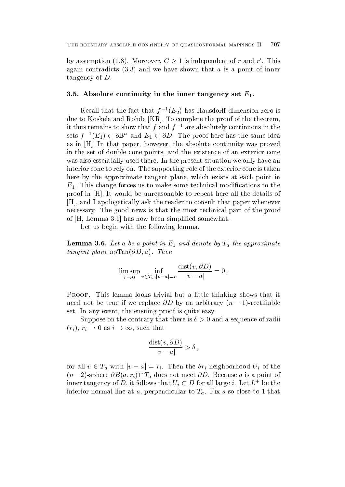by assumption (1.8). Moreover,  $C \geq 1$  is independent of r and r'. This again contradicts and we have shown that a is a point of inner tangency of D

#### $\sim$  -1 the inner tangency set E-M in the inner tangency set E-M in the inner tangency set E-M in the inner tangency set E-M in the inner tangency set E-M in the inner tangency set E-M in the inner tangency set E-M in the

Recall that the fact that  $f = (E_2)$  has Hausdorn dimension zero is due to Koskela and Rohde [KR]. To complete the proof of the theorem. it thus remains to show that f and f - are absolutely continuous in the sets  $f^{-1}(E_1) \subset \partial \mathbb{B}^n$  and  $E_1 \subset \partial D$ . The proof here has the same idea as in [H]. In that paper, however, the absolute continuity was proved in the set of double cone points and the existence of an exterior cone was also essentially used there. In the present situation we only have an interior cone to rely on. The supporting role of the exterior cone is taken here by the approximate tangent plane, which exists at each point in  $\Gamma$  This change for the modications to the modications to the modications to the modications to the modications to the modications to the modications to the modications to the modications to the modications to the modica proof in [H]. It would be unreasonable to repeat here all the details of H
and I apologetically ask the reader to consult that paper whenever necessary. The good news is that the most technical part of the proof of  $[H, Lemma 3.1]$  has now been simplified somewhat.

Let us begin with the following lemma.

**EXAMPLE 5.0.** Let a be a point in  $E_1$  and achoic by  $I_a$  the approximate tangent planet application of the planet application of the property of the property of the property of the property of the property of the property of the property of the property of the property of the property of the pr

$$
\limsup_{r\to 0}\inf_{v\in T_a,|v-a|=r}\frac{\operatorname{dist}(v,\partial D)}{|v-a|}=0\,.
$$

 $\mathbf{M}$  $\alpha$  if the true if we replace  $\partial D$  by an arbitrary  $(n - 1)$ -rectinable set. In any event, the ensuing proof is quite easy.

Suppose on the contrary that there is  $\delta > 0$  and a sequence of radii  $(r_i), r_i \to 0$  as  $i \to \infty$ , such that

$$
\frac{\text{dist}(v, \partial D)}{|v - a|} > \delta ,
$$

for all  $v \in T_a$  with  $|v - a| = r_i$ . Then the  $\delta r_i$ -neighborhood  $U_i$  of the  $(n-2)$ -sphere  $\partial B(a, r_i) \cap T_a$  does not meet  $\partial D$ . Because a is a point of inner tangency of D, it follows that  $U_i \subset D$  for all large i. Let  $L^+$  be the interior normal line at a, perpendicular to  $T_a$ . Fix s so close to 1 that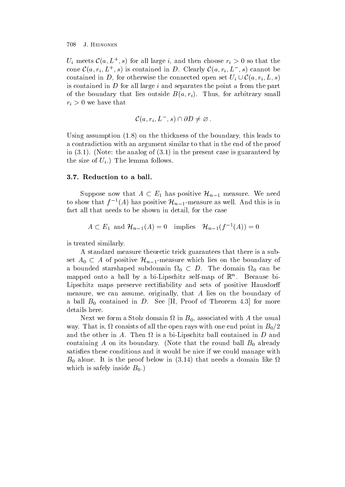$U_i$  meets  $\mathcal{C}(a, L^+, s)$  for all large i, and then choose  $r_i > 0$  so that the cone  $\mathcal{C}(a, r_i, L^+, s)$  is contained in D. Clearly  $\mathcal{C}(a, r_i, L^-, s)$  cannot be contained in D, for otherwise the connected open set  $U_i\cup \mathcal{C}(a,r_i,L,s)$ is contained in  $D$  for all large  $i$  and separates the point  $a$  from the part of the boundary that lies outside Ba rights for arbitrary small  $\mathcal{U}$  $\iota$  is that the that that the that that the that the that the that the that the that the that the that the that the that the that the that the that the that the that the that the that the that the that the that the that

$$
\mathcal{C}(a,r_i,L^-,s)\cap \partial D\neq \varnothing.
$$

Using assumption on the thickness of the boundary this leads to a contradiction with an argument similar to that in the end of the proof in the analog of  $\mathcal{N}$  is guaranteed by  $\mathcal{N}$  is guaranteed by  $\mathcal{N}$  $\sim$  0  $\mu$   $\sim$  0  $\mu$   $\sim$  0  $\mu$   $\sim$  0  $\mu$   $\sim$  0  $\mu$   $\sim$  0  $\mu$   $\sim$  0  $\mu$   $\sim$  0  $\mu$   $\sim$  0  $\mu$   $\sim$  0  $\mu$   $\sim$  0  $\mu$   $\sim$  0  $\mu$   $\sim$  0  $\mu$   $\sim$  0  $\mu$   $\sim$  0  $\mu$   $\sim$  0  $\mu$   $\sim$  0  $\mu$   $\sim$  0  $\mu$   $\sim$ 

Suppose now that  $A \subset E_1$  has positive  $\mathcal{H}_{n-1}$  measure. We need to show that  $f^{-1}(A)$  has positive  $\mathcal{H}_{n-1}$ -measure as well. And this is in fact all that needs to be shown in detail, for the case

$$
A \subset E_1
$$
 and  $\mathcal{H}_{n-1}(A) = 0$  implies  $\mathcal{H}_{n-1}(f^{-1}(A)) = 0$ 

is treated similarly

A standard measure theoretic trick guarantees that there is a subset  $A_0 \subset A$  of positive  $\mathcal{H}_{n-1}$ -measure which lies on the boundary of a bounded starshaped subdomain  $\Omega_0 \subset D$ . The domain  $\Omega_0$  can be mapped onto a ball by a bi-Lipschitz self-map of <sup>R</sup><sup>n</sup> Because bi-Lipschitz maps preserve rectifiability and sets of positive Hausdorff measure, we can assume, originally, that  $A$  lies on the boundary of a ball  $B_0$  contained in D. See [H, Proof of Theorem 4.3] for more details here

Next we form a Stolz domain  $\Omega$  in  $B_0$ , associated with A the usual way. That is,  $\Omega$  consists of all the open rays with one end point in  $B_0/2$ and the other in  $\mathbb{R}^n$  is a bi-dimensional contained in  $\mathbb{R}^n$  and  $\mathbb{R}^n$ containing A on its boundary. (Note that the round ball  $B_0$  already satisfies these conditions and it would be nice if we could manage with  $\sim$  0 alone It is the proof below in the proof below in the domain like  $\sim$ which is safely inside  $B_0$ .)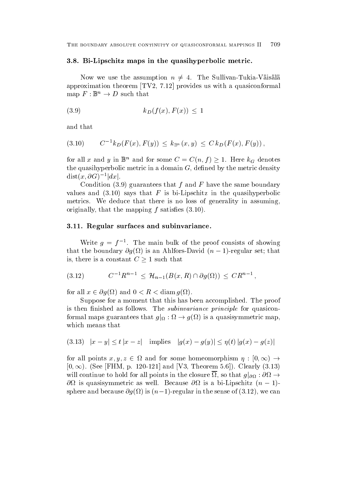#### - - Bi Lipschitz maps in the quasihyperbolic metric-

Now we use the assumption  $n \neq 4$ . The Sullivan-Tukia-Väisälä approximation theorem  $[TV2, 7.12]$  provides us with a quasiconformal map  $F: \mathbb{B}^n \to D$  such that

$$
(3.9) \t\t k_D(f(x), F(x)) \le 1
$$

and that

$$
(3.10) \tC-1kD(F(x), F(y)) \leq k_{\mathbb{B}^n}(x, y) \leq C kD(F(x), F(y)),
$$

for all x and y in  $\mathbb{B}^n$  and for some  $C = C(n, f) \geq 1$ . Here  $k_G$  denotes the quasihyperbolic metric in a domain  $G$ , defined by the metric density  $dist(x, \partial G)^{-1}|dx|.$ 

commission ! (200)  $\Delta$  must find the same boundary boundary boundary for the same finding  $\Delta$ values and the says that F is bi-f in the graduate in the quasi-f in the quasi-f in the quasi-f in the quasi-f metrics. We deduce that there is no loss of generality in assuming, originally that the mapping f satises 

#### -- Regular surfaces and subinvariance-

Write  $q = 1$ . The main bulk of the proof consists of showing  $\frac{1}{1000}$  the boundary  $O(15)$  is an Amnois-David  $(n - 1)$ -regular set, that is, there is a constant  $C \geq 1$  such that

$$
(3.12) \t C^{-1}R^{n-1} \leq \mathcal{H}_{n-1}(B(x,R) \cap \partial g(\Omega)) \leq CR^{n-1},
$$

for all  $x \in \partial q(\Omega)$  and  $0 < R < \operatorname{diam} q(\Omega)$ .

Suppose for a moment that this has been accomplished. The proof is then finished as follows. The *subinvariance principle* for quasiconformal maps guarantees that  $g|_{\Omega} : \Omega \to g(\Omega)$  is a quasisymmetric map, which means that

(3.13) 
$$
|x - y| \le t |x - z|
$$
 implies  $|g(x) - g(y)| \le \eta(t) |g(x) - g(z)|$ 

for all points  $x, y, z \in \Omega$  and for some homeomorphism  $\eta : [0, \infty) \to$  $[0, \infty)$ . (See FHM, p. 120-121 and  $V3$ , Theorem 5.6)). Clearly (3.13) will continue to hold for all points in the closure  $\Omega$ , so that  $g|_{\partial\Omega}:\partial\Omega\to$ Use is quasisymmetric as well. Decause Use is a bi-Lipschitz  $(n - 1)$ sphere and because  $O(q \setminus \{i\})$  is  $(n-1)$ -regular in the sense of  $(3.12)$ , we can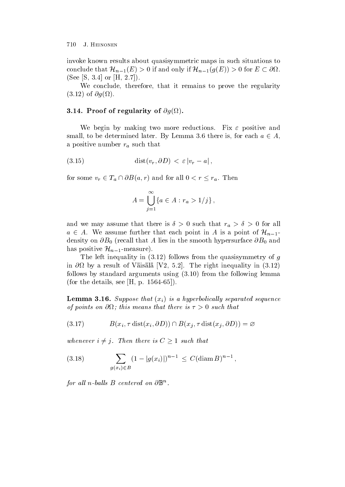invoke known results about quasisymmetric maps in such situations to conclude that  $\mathcal{H}_{n-1}(E) > 0$  if and only if  $\mathcal{H}_{n-1}(g(E)) > 0$  for  $E \subset \partial\Omega$ .  $\mathbf{S}$  . The set of the set of the set of the set of the set of the set of the set of the set of the set of the set of the set of the set of the set of the set of the set of the set of the set of the set of the set of t

We conclude, therefore, that it remains to prove the regularity of -g

# -- Proof of regularity of -g -

We begin by making two more reductions. Fix  $\varepsilon$  positive and small, to be determined later. By Lemma 3.6 there is, for each  $a \in A$ , a positive number radius number radius number radius number radius number radius number radius number radius n

 distvr -D jvr aj

for some  $v_r \in T_a \cap \partial B(a, r)$  and for all  $0 < r \leq r_a$ . Then

$$
A = \bigcup_{j=1}^{\infty} \{ a \in A : r_a > 1/j \},
$$

and we may assume that there is the that there is no such that there is no such that range  $\alpha$  $a \in A$ . We assume further that each point in A is a point of  $\mathcal{H}_{n-1}$ . density on  $\phi = 0$  , in the small that the smooth handle smooth in the smooth form  $\phi = 0$  and the smooth in the smooth smooth in the smooth smooth smooth smooth smooth smooth smooth smooth smooth smooth smooth smooth smo has positive  $\mathcal{H}_{n-1}$ -measure).

The left integration in a strong indicate in the quasisymmetry of gradients  $\mathbf{f}(\mathbf{f})$ in a result of Vaisala V and the right in the right interval value  $\mu$  and  $\mu$ follows by standard arguments using  $\alpha$  ,  $\alpha$  , is the following contract. for the details see H p  $\sim$  1.1 F p  $\sim$  1.1 F p  $\sim$  1.1 F p  $\sim$  1.1 F p  $\sim$  1.1 F p  $\sim$  1.1 F p  $\sim$  1.1 F p  $\sim$  1.1 F p  $\sim$  1.1 F p  $\sim$  1.1 F p  $\sim$  1.1 F p  $\sim$  1.1 F p  $\sim$  1.1 F p  $\sim$  1.1 F p  $\sim$  1.1 F p  $\$ 

 $\bf L$  and  $\bf u$ ,  $\bf v$  is a suppose that  $\{x_i\}$  to a hyperbolically separated sequence of points on a point that there is no is no is a such that the set of the such that the such that the such tha

$$
(3.17) \tB(x_i, \tau \text{ dist}(x_i, \partial D)) \cap B(x_j, \tau \text{ dist}(x_j, \partial D)) = \varnothing
$$

whenever  $i \neq j$ . Then there is  $C \geq 1$  such that

(3.18) 
$$
\sum_{g(x_i) \in B} (1 - |g(x_i)|)^{n-1} \le C(\text{diam } B)^{n-1},
$$

for all n-valls  $B$  centered on  $\mathcal{O} \mathbb{D}^+$ .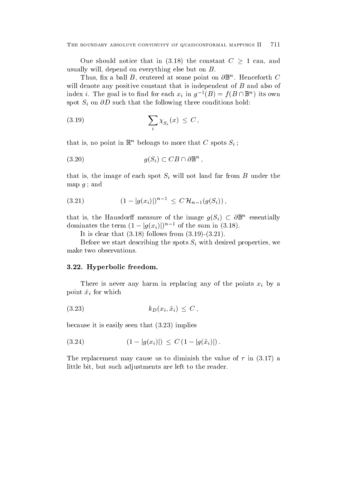One should notice that in  $(3.18)$  the constant  $C \geq 1$  can, and usually will, depend on everything else but on  $B$ .

I mus, mx a ball  $B$ , centered at some point on  $\sigma$  $\mathbb{D}^{\cdots}$ . Henceforth  $C$ will denote any positive constant that is independent of B and also of index i. The goal is to find for each  $x_i$  in  $g^{-1}(B) = f(B \cap \mathbb{B}^n)$  its own  $\mathbf{S}$  is the following three conditions that the following three conditions holds holds holds holds holds holds holds holds.

$$
\sum_{i} \chi_{S_i}(x) \leq C \,,
$$

that is, no point in  $\mathbb{R}^n$  belongs to more that  $C$  spots  $S_i$ ;

$$
(3.20) \t\t g(S_i) \subset CB \cap \partial \mathbb{B}^n ,
$$

that is the image of each spot  $\mathbf{u}$  will not land far from B under the spot Si will not land far from B under the spot  $\mathbf{u}$ map  $q$ ; and

$$
(3.21) \t\t (1-|g(x_i)|)^{n-1} \leq C \, \mathcal{H}_{n-1}(g(S_i)) \,,
$$

that is, the Hausdorff measure of the image  $g(S_i) \subset \partial \mathbb{B}^n$  essentially dominates the term  $(1-|g(x_i)|)^{n-1}$  of the sum in (3.18).

It is constant that is constant to a constant of  $\mathbf{r}$  is constant to a constant of  $\mathbf{r}$ 

 $\mathcal{L}$  before we start describing the spots Si with desired properties we have been desired properties we have the spots  $\mathcal{L}$ make two observations

# -- Hyperbolic freedom-

There is never any  $\alpha$  is never any of points  $\alpha$  any of the points  $\alpha$  by any of the points  $\alpha$ point x i for which you have a strong which you have a strong which you have a strong which you have a strong w

$$
(3.23) \t\t k_D(x_i, \tilde{x}_i) \leq C \,,
$$

because it is easily seen that it is easily seen that it is easily seen that it is easily seen that it is easi

$$
(3.24) \qquad \qquad (1 - |g(x_i)|) \leq C \left(1 - |g(\tilde{x}_i)|\right).
$$

The replacement may cause us to diminish the value of  $\mathbf{r} = \mathbf{r}$  , we can assume of  $\mathbf{r} = \mathbf{r}$ little bit, but such adjustments are left to the reader.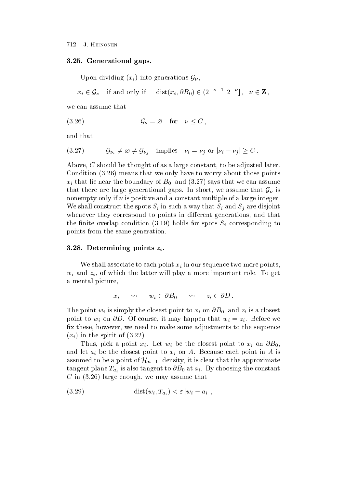### -- Generational gaps-

Upon dividing  $(x_i)$  into generations  $\mathcal{G}_{\nu}$ , 

 $x_i \in \mathcal{G}_{\nu}$  if and only if  $dist(x_i, \partial B_0) \in (2^{-\nu-1}, 2^{-\nu}), \nu \in \mathbb{Z}$ ,

we can assume that

$$
(3.26) \t\t \t\t \mathcal{G}_{\nu} = \varnothing \t\t \text{for} \t\t \nu \leq C \t\t,
$$

and that

$$
(3.27) \t\t\t\t\t\mathcal{G}_{\nu_i} \neq \varnothing \neq \mathcal{G}_{\nu_i} \t\t\t\t\text{implies} \t\t\t\nu_i = \nu_j \text{ or } |\nu_i - \nu_j| \geq C.
$$

Above,  $C$  should be thought of as a large constant, to be adjusted later. comments in the condition of the world that we only the world the top comments of the comments of the condition is that lies that we can assume that we can assume that we can assume that we can assume that we can assume that we can assume that we can assume that we can assume that we can assume that we can assume that we can assume that there are large generational gaps. In short, we assume that  $\mathcal{G}_{\nu}$  is nonempty only if  $\nu$  is positive and a constant multiple of a large integer. We shall construct that spots Si in such a spot such Si  $\alpha$  in such such as  $\alpha$  in such a single space. whenever they correspond to points in different generations, and that the nite overlap condition  $\mathbf{r}$  is spot over the corresponding to  $\mathbf{r}$  corresponding to  $\mathbf{r}$ points from the same generation

#### - - Determining points zi -

We shall associate to each point  $\alpha$  in our sequence to  $\beta$  in our sequence to be considered the points of  $\beta$ with the latter will play a more important role To get  $\mathbf{r}$  and  $\mathbf{r}$  and  $\mathbf{r}$ a mental picture

$$
x_i \qquad \leadsto \qquad w_i \in \partial B_0 \qquad \leadsto \qquad z_i \in \partial D \ .
$$

The point  $\{x_i\}_{i=1}^n$  is simply the close to the point to  $x_i$  is and  $\{x_i\}_{i=1}^n$  is a close to  $i$ point to wi on -D Of course it may happen that wi zi Before we fix these, however, we need to make some adjustments to the sequence  $\mathbf{x} = \mathbf{y}$  is the spirit of  $\mathbf{x} = \mathbf{y}$  , we have the spirit of  $\mathbf{x} = \mathbf{y}$  .

Thus pick a point  $\mathbf{v}$  is the contract point to  $\mathbf{v}$  . Thus is the contract point to  $\mathbf{v}$  on  $\mathbf{v}$ and let a be the closest point to  $\mathbf{r}$  on  $\mathbf{r}$  on A is on A is on A is on A is on A is on A is on A is on A is on A is on A is on A is on A is on A is on A is on A is on A is on A is on A is on A is on A is on A i assumed to be a point of  $\mathcal{H}_{n-1}$  -density, it is clear that the approximate tangent plane  $\mathbf{u}_i$  is also tangent to  $\mathbf{v} = \mathbf{0}$  at  $\mathbf{u}_i$ ,  $\mathbf{v}_j$  and constants the constant  $\blacksquare$  in the matrix we may assume that we may assume that  $\blacksquare$ 

$$
(3.29) \qquad \qquad \mathrm{dist}(w_i, T_{a_i}) < \varepsilon \left| w_i - a_i \right|,
$$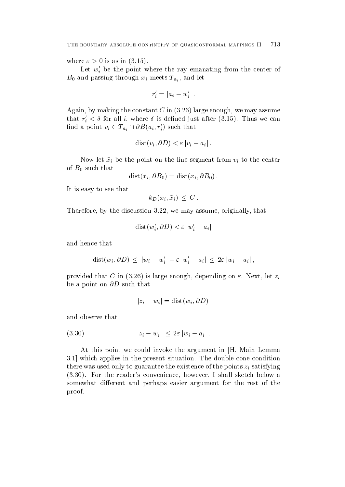where it is assumed in the contract of  $\mathcal{N} = \{1,2,\ldots,n\}$ 

Let  $w_i$  be the point where the ray emanating from the center of  $B_0$  and passing through  $x_i$  meets  $T_{a_i}$ , and let

$$
r_i' = |a_i - w_i'|.
$$

Again by making the constant C in  large enough we may assume that  $r_i < \sigma$  for all  $i$ , where  $\sigma$  is defined just after  $(\sigma, 15)$ . Thus we can find a point  $v_i \in T_{a_i} \cap \partial B(a_i, r'_i)$  such that

$$
dist(v_i, \partial D) < \varepsilon \left| v_i - a_i \right|.
$$

 $\mathbf{v}$  i be the point on the point on the point on the center  $\mathbf{v}$  to the center  $\mathbf{v}$ of  $B_0$  such that

$$
dist(\tilde{x}_i, \partial B_0) = dist(x_i, \partial B_0).
$$

It is easy to see that

$$
k_D(x_i, \tilde{x}_i) \leq C.
$$

Therefore, by the discussion  $3.22$ , we may assume, originally, that

$$
dist(w'_i, \partial D) < \varepsilon |w'_i - a_i|
$$

and hence that

$$
dist(w_i, \partial D) \leq |w_i - w'_i| + \varepsilon |w'_i - a_i| \leq 2\varepsilon |w_i - a_i|,
$$

 $\mathbb{R}$  is the contract contract the contract let  $\mathbb{R}$  is a contract let  $\mathbb{R}$  is a contract let  $\mathbb{R}$  $\mathbf{b}$  and  $\mathbf{b}$  are a point on  $\mathbf{b}$  and  $\mathbf{b}$  are a point of  $\mathbf{b}$ 

$$
|z_i - w_i| = \text{dist}(w_i, \partial D)
$$

and observe that

$$
(3.30) \t\t\t |z_i - w_i| \leq 2\varepsilon |w_i - a_i|.
$$

At this point we could invoke the argument in  $|H|$ , Main Lemma which applies in the present situation The double cone condition there was used on the existence of the points  $\mathbf{u} = \mathbf{u} \cdot \mathbf{v}$  satisfying  $\mathbf{u} = \mathbf{v} \cdot \mathbf{v}$  For the readers convenience however I shall sketch below a somewhat different and perhaps easier argument for the rest of the proof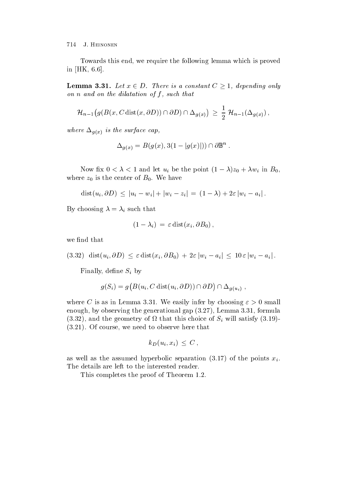Towards this end, we require the following lemma which is proved in  $[HK, 6.6]$ .

**Lemma 3.31.** Let  $x \in D$ . There is a constant  $C \geq 1$ , depending only on an and on the dilatation of the distribution of  $\mathcal{S}$ 

$$
\mathcal{H}_{n-1}(g(B(x, C \text{ dist}(x, \partial D)) \cap \partial D) \cap \Delta_{g(x)}) \geq \frac{1}{2} \mathcal{H}_{n-1}(\Delta_{g(x)}) ,
$$

where  $\alpha$  is the surface capacity  $\alpha$ 

$$
\Delta_{g(x)} = B(g(x), 3(1 - |g(x)|)) \cap \partial \mathbb{B}^n.
$$

Now  $\mu x$   $0 \le \lambda \le 1$  and let  $u_i$  be the point  $(1 - \lambda)z_0 + \lambda w_i$  in  $D_0$ , where  $z_0$  is the center of  $B_0$ . We have

$$
dist(u_i, \partial D) \leq |u_i - w_i| + |w_i - z_i| = (1 - \lambda) + 2\varepsilon |w_i - a_i|.
$$

 $\mathcal{B} = \mathcal{B}$  for a such that the that the such that the such that the such that the such that the such that the such that the such that the such that the such that the such that the such that the such that the such tha

$$
(1 - \lambda_i) = \varepsilon \operatorname{dist}(x_i, \partial B_0),
$$

we find that

 $(3.32)$  dist $(u_i, \partial D) \leq \varepsilon$  dist $(x_i, \partial B_0) + 2\varepsilon |w_i - a_i| \leq 10 \varepsilon |w_i - a_i|$ .

Finally denotes the Si by density of  $\mathfrak{g}_i$  by denotes the Si by density of  $\mathfrak{g}_i$ 

$$
g(S_i) = g\big(B(u_i, C \text{ dist}(u_i, \partial D)) \cap \partial D\big) \cap \Delta_{g(u_i)},
$$

where C is as in Lemma 3.31. We easily infer by choosing  $\varepsilon > 0$  small enough by observing the generation  $\mathcal{L}$  for  $\mathcal{L}$  for  $\mathcal{L}$  $\mathcal{A}$  and the geometry of  $\mathcal{A}$  will satisfy  $\mathcal{A}$  will satisfy  $\mathcal{A}$  and  $\mathcal{A}$  will satisfy  $\mathcal{A}$  and  $\mathcal{A}$  and  $\mathcal{A}$  and  $\mathcal{A}$  and  $\mathcal{A}$  and  $\mathcal{A}$  and  $\mathcal{A}$  and  $\mathcal{A}$  and  $\mathcal{A}$  Of course we need to observe here that

$$
k_D(u_i, x_i) \, \leq \, C \, ,
$$

as well assumed hyperbolic separation  $\mathcal{N}$  . The points  $\mathcal{N}$  is a summer  $\mathcal{N}$ The details are left to the interested reader

This completes the proof of Theorem 1.2.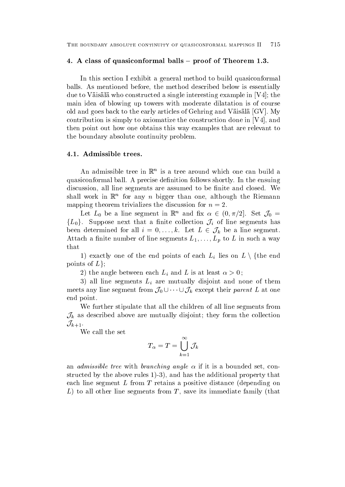### - A class of the class of the class of the class of the class of Theorem - A class of Theorem - A class of Theorem -

In this section I exhibit a general method to build quasiconformal balls. As mentioned before, the method described below is essentially due to Väisälä who constructed a single interesting example in  $[V4]$ ; the main idea of blowing up towers with moderate dilatation is of course old and goes back to the early articles of Gehring and Väisälä  $[GV]$ . My contribution is simply to axiomatize the construction done in  $[V4]$ , and then point out how one obtains this way examples that are relevant to the boundary absolute continuity problem

An admissible tree in  $\mathbb{R}^n$  is a tree around which one can build a quasiconformal ball. A precise definition follows shortly. In the ensuing discussion, all line segments are assumed to be finite and closed. We shall work in  $\mathbb{R}^n$  for any  $n$  bigger than one, although the Riemann mapping theorem trivializes the discussion for  $n = 2$ .

Let  $L_0$  be a line segment in  $\mathbb{R}^n$  and fix  $\alpha \in (0, \pi/2]$ . Set  $\mathcal{J}_0 =$  ${L_0}$ . Suppose next that a finite collection  $\mathcal{J}_i$  of line segments has been determined for all  $i = 0, \ldots, k$ . Let  $L \in \mathcal{J}_k$  be a line segment.  $\Omega$  in such a way was a way way we have seen a way we have seen a way we have the segments  $\mathcal{A}$ that

1) exactly one of the end points of each  $L_i$  lies on  $L \setminus \{$ the end points of  $L$ ;

the angle between each Linear  $\mu$  is an at least  $\mu$  . And  $\mu$ 

 all line segments Li are mutually disjoint and none of them meets any line segment from  $\mathcal{J}_0 \cup \cdots \cup \mathcal{J}_k$  except their parent L at one end point

We further stipulate that all the children of all line segments from  $\mathcal{J}_k$  as described above are mutually disjoint; they form the collection  $\mathcal{J}_{k+1}$ 

We call the set

$$
T_\alpha=T=\bigcup_{k=1}^\infty \mathcal{J}_k
$$

an *admissible tree* with *branching angle*  $\alpha$  if it is a bounded set, constructure  $\alpha$  , the above rules  $\alpha$  ,  $\alpha$  ,  $\alpha$  , and the additional property that  $\alpha$  , the additional property that  $\alpha$ each line segment  $L$  from  $T$  retains a positive distance (depending on  $\mathbf{f}$  to all other line segments from T  $\mathbf{f}$  satisfies its immediate family that for  $\mathbf{f}$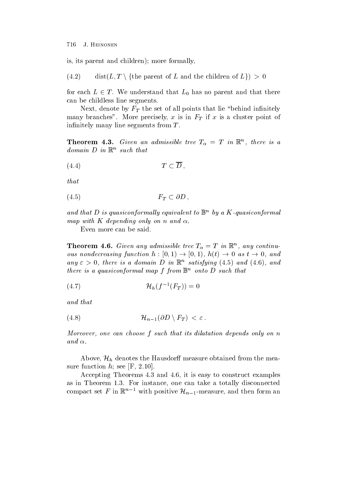is its parent and children more formally

 $(4.2)$  $\mathop\mathrm{dist}(L,T\setminus\{\text{the parent of }L\text{ and the children of }L\})>0$ 

for each  $L \in T$ . We understand that  $L_0$  has no parent and that there can be childless line segments

 $N$  the set of all points the set of all points that lie behind in  $N$ many branches More precisely  $M$  is in FT in FT is a cluster point of  $\mathbf{r}$  is a cluster point of  $\mathbf{r}$ infinitely many line segments from  $T$ .

**Theorem 4.3.** Given an aamissible tree  $I_{\alpha} = I$  in  $\mathbb{R}^n$ , there is a  $a$ omain  $D$  in  $K^-$  such that

$$
(4.4) \t\t T \subset \overline{D},
$$

that

$$
(4.5) \t\t F_T \subset \partial D ,
$$

and that  $D$  is quasiconformally equivalent to  $\mathbb{B}^\sim$  by a  $K$ -quasiconformal mow with K wo work and only one is with with the contract of the monday of the monday of the contract of the contract of the contract of the contract of the contract of the contract of the contract of the contract of the c

Even more can be said

**Theorem 4.6.** Given any aamissible tree  $I_{\alpha} = I$  in  $\mathbb{R}^n$ , any continuous nondecreasing function  $h : [0, 1) \to [0, 1)$ ,  $h(t) \to 0$  as  $t \to 0$ , and any  $\varepsilon > 0$ , there is a domain D in  $\mathbb{R}^n$  satisfying (4.5) and (4.0), and there is a quasiconformal map  $\overline{I}$  from  $\mathbb{D}^{\sim}$  onto  $D$  such that

$$
(4.7) \t\t\t\t\mathcal{H}_h(f^{-1}(F_T)) = 0
$$

and the that the contract of the contract of the contract of the contract of the contract of the contract of the

 Hn--<sup>D</sup> n FT 

Moreover one can choose f such that its dilatation depends only on n  $\sim$  .  $\sim$   $\sim$   $\sim$  .

Above,  $\mathcal{H}_h$  denotes the Hausdorff measure obtained from the measure function  $h$ ; see [F, 2.10].

Accepting Theorems 4.3 and 4.6, it is easy to construct examples as in Theorem 1.3. For instance, one can take a totally disconnected compact set F in  $\mathbb{R}^{n-1}$  with positive  $\mathcal{H}_{n-1}$ -measure, and then form an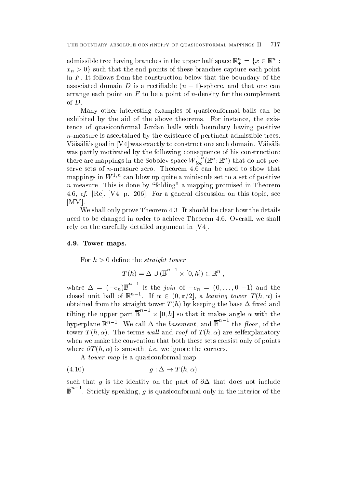admissible tree having branches in the upper half space  $\mathbb{R}^n_+ = \{x \in \mathbb{R}^n\,:\,$  $x_n > 0$  such that the end points of these branches capture each point in  $F$ . It follows from the construction below that the boundary of the associated domain  $D$  is a rectinable  $(n - 1)$ -sphere, and that one can arrange each point on F to be a point of n-density for the complement of  $D$ .<br>Many other interesting examples of quasiconformal balls can be

exhibited by the aid of the above theorems. For instance, the existence of quasiconformal Jordan balls with boundary having positive n-measure is ascertained by the existence of pertinent admissible trees Väisälä's goal in [V4] was exactly to construct one such domain. Väisälä was partly motivated by the following consequence of his construction: there are mappings in the Sobolev space  $W_{loc}^{-}(\mathbb{R}^n;\mathbb{R}^n)$  that do not premappings in W-n can blow up quite a miniscule set to a set of positive n-measure This is done by folding a mapping promised in Theorem 4.6, *cf.* [Re], [V4, p. 206]. For a general discussion on this topic, see [MM].

We shall only prove Theorem 4.3. It should be clear how the details need to be changed in order to achieve Theorem 4.6. Overall, we shall rely on the carefully detailed argument in  $[V4]$ .

#### - Tower maps-to-state control to the control of the control of the control of the control of the control of the control of the control of the control of the control of the control of the control of the control of the contr

For  $h > 0$  define the *straight tower* 

$$
T(h) = \Delta \cup (\overline{\mathbb{B}}^{n-1} \times [0, h]) \subset \mathbb{R}^n ,
$$

where  $\Delta = (-e_n) \mathbb{B}$  is the join of  $-e_n = (0, \ldots, 0, -1)$  and the closed unit ball of  $\mathbb{K}^{n-1}$ . If  $\alpha \in (0, \pi/2]$ , a *leaning tower*  $T(h, \alpha)$  is  $\alpha$  is the straight tower  $\alpha$  . If the box  $\alpha$  is a straight the base  $\alpha$  and  $\alpha$  and  $\alpha$ tilting the upper part  $\mathbb{B}^n$  -  $\times$  10, h ho that it makes an angle with the south that it will be a south of the south of the south of the south of the hyperplane  $\mathbb{R}^{n-1}$ . We call  $\Delta$  the *basement*, and  $\mathbb{B}$  the *floor*, of the  $\sigma$  and  $\sigma$  are  $\sigma$  and  $\sigma$  and  $\sigma$  are  $\sigma$  and  $\sigma$  are self-are  $\sigma$  and  $\sigma$ when we make the convention that both these sets consist only of points  $\alpha$  is smooth in the corresponding in the corresponding to the corresponding  $\alpha$ 

A tower map is a quasiconformal map

$$
(4.10) \t\t g: \Delta \to T(h, \alpha)
$$

such that g is the identity on the identity on the part of - that does not include  $\mathbb{R}$  $\mathbb{B}^n$ . Strictly speaking, q is quasiconformal only in the interior of the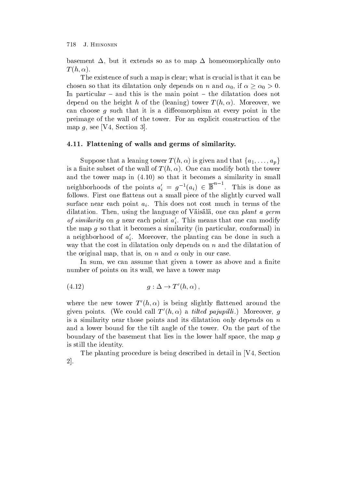basement  $\Delta$ , but it extends so as to map  $\Delta$  homeomorphically onto  $T(h,\alpha)$ .

The existence of such a map is clear; what is crucial is that it can be chosen so that its dilatation only depends on n and  $\alpha_0$ , if  $\alpha \ge \alpha_0 > 0$ . In particular  $-$  and this is the main point  $-$  the dilatation does not depend on the height has the leading three tower we have the leading of the leading term of the leading of the leading term of the leading of the leading term of the leading term of the leading term of the leading term of can choose  $g$  such that it is a diffeomorphism at every point in the preimage of the wall of the tower For an explicit construction of the map  $g$ , see [V4, Section 3].

### -- Flattening of walls and germs of similarity-

Suppose that a leaning tower  $T(h, \alpha)$  is given and that  $\{a_1, \ldots, a_p\}$ is a nite subset of the wall of the wall of T h h  $\alpha$  modify both the tower  $\alpha$ and the tower map in  $(4.10)$  so that it becomes a similarity in small so that it becomes a similarity in small  $\mathbf{f}$  is become similar in small  $\mathbf{f}$ neighborhoods of the points  $a_i' = g^{-1}(a_i) \in \mathbb{B}^n$ . This is done as follows. First one flattens out a small piece of the slightly curved wall surface near the point  $p$  is done that  $p$  are not contributed in the second of the terms of the  $p$ dilatation. Then, using the language of Väisälä, one can plant a germ *of similarity* on g near each point  $a_i$ . This means that one can modify the map g so that it becomes a similar conformal  $i$  becomes a similar conformal conformal conformal conformal conformal conformal conformal conformal conformal conformal conformal conformal conformal conformal conformal a neighborhood of  $a_i$ . Moreover, the planting can be done in such a way that the cost in dilatation only depends on  $n$  and the dilatation of the original map, that is, on n and  $\alpha$  only in our case.

In sum, we can assume that given a tower as above and a finite number of points on its wall, we have a tower map

$$
(4.12) \t\t g: \Delta \to T'(h, \alpha) ,
$$

where the new tower  $I_+(n,\alpha)$  is being slightly hattened around the given points. (We could call  $I_1(n,\alpha)$  a *threa pajuphut*.) Moreover,  $q$ is a similarity near those points and its dilatation only depends on  $n$ and a lower bound for the tilt angle of the tower. On the part of the boundary of the basement that lies in the lower half space, the map  $g$ is still the identity

The planting procedure is being described in detail in [V4, Section]  $2$ .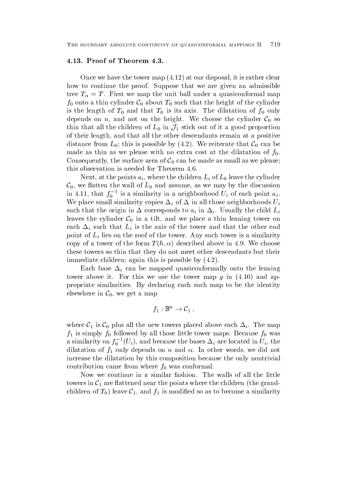Once we have the tower map at our disposal it is rather clear how to continue the proof. Suppose that we are given an admissible tree T  $T$  first we map the unit ball under a quasiconformal map the unit ball unit ball under a quasiconformal map  $T$  $f_0$  onto a thin cylinder  $C_0$  about  $T_0$  such that the height of the cylinder is the length of  $T_0$  and that  $T_0$  is its axis. The dilatation of  $f_0$  only depends on n, and not on the height. We choose the cylinder  $C_0$  so thin that all the children of  $L_0$  in  $\mathcal{J}_1$  stick out of it a good proportion of their length, and that all the other descendants remain at a positive distance from  $L_0$ ; this is possible by (4.2). We reiterate that  $\mathcal{C}_0$  can be made as thin as we please with no extra cost at the dilatation of  $f_0$ . Consequently, the surface area of  $C_0$  can be made as small as we please; this observation is needed for Theorem 

 $\mathbf{v}$  and the points are the children Li of Li of Li of Li  $\mathbf{v}$  and  $\mathbf{v}$  and  $\mathbf{v}$  and  $\mathbf{v}$  and  $\mathbf{v}$  and  $\mathbf{v}$  and  $\mathbf{v}$  and  $\mathbf{v}$  and  $\mathbf{v}$  and  $\mathbf{v}$  and  $\mathbf{v}$  and  $\mathbf{v}$  and  $\math$  $\mathcal{C}_0$ , we flatten the wall of  $L_0$  and assume, as we may by the discussion in 4.11, that  $f_0$  - is a similarity in a neighborhood  $U_i$  of each point  $a_i$ . We place small similarity copies  $\mu$  of  $\mu$  of  $\mu$  in all those neighborhoods Ui of  $\mu$  in all those neighborhoods Ui of  $\mu$ such that the origin in  $\mathbf{u}$  is the corresponding to a in  $\mathbf{u}$  in  $\mathbf{u}$  in  $\mathbf{u}$  in  $\mathbf{u}$ leaves the cylinder  $C_0$  in a tilt, and we place a thin leaning tower on each  $\mu$  is the computation in the axis of the axis of the other end that the other end that the other end that the other end that the other end of the other end of the other end of the other end of the other end of the point of Li lies on the roof of the tower Any such tower is a similarity copy of a tower of the form T h  $d$  above in the form T h h  $d$  h  $d$  h  $d$  h  $d$  h  $d$  h  $d$  h  $d$  h  $d$  h  $d$  h  $d$ these towers so thin that they do not meet other descendants but their immediate children again this is possible by

 $\mathbf{h}$  can be mapped quasiconformally onto the leading one of leading  $\mathbf{h}$ tower above it for this we use the tower map g in  $\mathbb{R}^n$  and applies the tower map g in  $\mathbb{R}^n$ propriate similarities. By declaring each such map to be the identity elsewhere in  $C_0$ , we get a map

$$
f_1:\mathbb{B}^n\to\mathcal{C}_1\,,
$$

where  $\mathcal{C}_1$  is  $\mathcal{C}_0$  plus all the new towers placed above each  $\Delta_i$ . The map  $f\colon I\to I$  is simply followed by all those little tower maps  $f\colon I\to I$  was because followed by an interval of was because followed by a set of was because followed by a set of was because for  $f\colon I\to I$  and was because for a similarity on  $f_0$   $^-(U_i)$ , and because the bases  $\Delta_i$  are located in  $U_i,$  the diatation of the form of the proposed only distributed with the compact words we did not the second that the s increase the dilatation by this composition because the only nontrivial contribution came from where  $f_0$  was conformal.

Now we continue in a similar fashion. The walls of all the little towers in  $C_1$  are flattened near the points where the children (the grandchildren of  $T_0$ ) leave  $C_1$ , and  $f_1$  is modified so as to become a similarity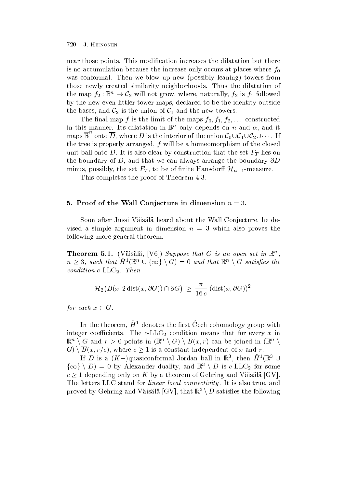near those points. This modification increases the dilatation but there is no accumulation because the increase only occurs at places where  $f_0$ was conformal Theorem we blow up new possible learned towers from the possible learned towers from the possible learned towers from the possible learned towers from the possible learned towers from the possible learned tow those newly created similarity neighborhoods Thus the dilatation of the map  $f_2: \mathbb{B}^n \to C_2$  will not grow, where, naturally,  $f_2$  is  $f_1$  followed by the new even littler tower maps, declared to be the identity outside the bases, and  $\mathcal{C}_2$  is the union of  $\mathcal{C}_1$  and the new towers.

The nal map f is the limit of the maps f f- f constructed in this manner. Its dilatation in  $\mathbb{B}^n$  only depends on n and  $\alpha$ , and it maps  $\mathbb{B}^{\cdot}$  onto D, where D is the interior of the union  $\mathcal{C}_0\cup\mathcal{C}_1\cup\mathcal{C}_2\cup\cdots$  . If the tree is properly arranged,  $f$  will be a homeomorphism of the closed  $\mathbf t$ the boundary of D and that we can always arrange the boundary -D minus, possibly, the set  $F_T$ , to be of finite Hausdorff  $\mathcal{H}_{n-1}$ -measure.

This completes the proof of Theorem 4.3.

### - Proof of the Wall Conjecture in dimension n -

Soon after Jussi Väisälä heard about the Wall Conjecture, he devised a simple argument in dimension  $n = 3$  which also proves the following more general theorem

**Theorem 5.1.** (Valsala,  $|\nu 0|$ ) Suppose that G is an open set in  $\mathbb{R}^n$ ,  $n \geq 3$ , such that  $H^1(\mathbb{R}^n \cup {\infty} \setminus G) = 0$  and that  $\mathbb{R}^n \setminus G$  satisfies the condition can come conditions and conditions of the conditions of the conditions of the conditions of the conditions of the conditions of the conditions of the conditions of the conditions of the conditions of the conditio

$$
\mathcal{H}_2\big(B(x, 2\operatorname{dist}(x, \partial G)) \cap \partial G\big) \, \geq \, \frac{\pi}{16 \, c} \, (\operatorname{dist}(x, \partial G))^2
$$

for each  $x \in G$ .

In the theorem,  $\bm{\pi}$  -denotes the hrst Cech cohomology group with integer coecients The condition means that for every x integer condition  $\mathcal{U}$  $\mathbb{R}^n \setminus G$  and  $r > 0$  points in  $(\mathbb{R}^n \setminus G) \setminus B(x,r)$  can be joined in  $(\mathbb{R}^n \setminus G)$  $G) \setminus B(x, r/c)$ , where  $c \geq 1$  is a constant independent of x and r.

If D is a  $(K-)$ quasiconformal Jordan ball in  $\mathbb{R}^3$ , then  $H^1(\mathbb{R}^3 \cup$  $\{\infty\} \setminus D$  = 0 by Alexander duality, and  $\mathbb{R}^3 \setminus D$  is c-LLC<sub>2</sub> for some  $c \geq 1$  depending only on K by a theorem of Gehring and Väisälä  $|GV|$ . The letters LLC stand for *linear local connectivity*. It is also true, and proved by Gehring and Väisälä [GV], that  $\mathbb{R}^3 \setminus D$  satisfies the following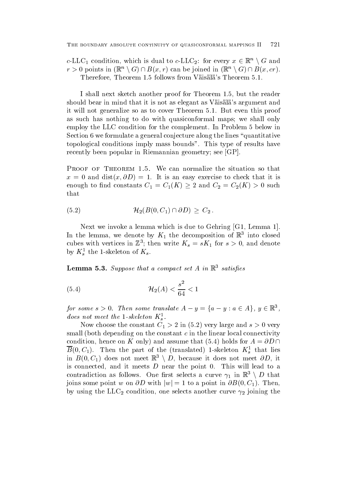c-LLC<sub>1</sub> condition, which is dual to c-LLC<sub>2</sub>: for every  $x \in \mathbb{R}^n \setminus G$  and  $r > 0$  points in  $(\mathbb{R}^n \setminus G) \cap B(x, r)$  can be joined in  $(\mathbb{R}^n \setminus G) \cap B(x, cr)$ . Therefore, Theorem 1.5 follows from Väisälä's Theorem 5.1.

I shall next sketch another proof for Theorem 1.5, but the reader should bear in mind that it is not as elegant as Väisälä's argument and it will not generalize so as to cover Theorem 5.1. But even this proof as such has nothing to do with quasiconformal maps; we shall only employ the LLC condition for the complement. In Problem 5 below in Section 6 we formulate a general conjecture along the lines "quantitative" topological conditions imply mass bounds". This type of results have recently been popular in Riemannian geometry; see [GP].

 $\blacksquare$ enough to find constants  $C_1 = C_1(K) \geq 2$  and  $C_2 = C_2(K) > 0$  such that

$$
(5.2) \t\t\t\t\t\mathcal{H}_2(B(0, C_1) \cap \partial D) \geq C_2.
$$

Next we invoke a lemma which is due to Gehring  $[G1, Lemma 1]$ . In the lemma, we denote by  $K_1$  the decomposition of  $\mathbb R$  -mto closed cubes with vertices in  $\mathbb{Z}$  ; then write  $\mathbf{A}_s \equiv s \mathbf{A}_1$  for  $s > 0$ , and denote by  $\mathbf{A}_s^-$  the 1-skeleton of  $\mathbf{A}_s$ . s

**Lemma 5.5.** Suppose that a compact set  $A$  in  $\mathbb{R}$  satisfies

(5.4) 
$$
\mathcal{H}_2(A) < \frac{s^2}{64} < 1
$$

for some  $s > 0$ . Then some translate  $A - y = \{a - y : a \in A\}$ ,  $y \in \mathbb{R}^3$ , abes not meet the  $1$ -skeleton  $K_{\alpha}$ .

Now choose the constant C- in very large and s very small (both depending on the constant  $c$  in the linear local connectivity condition, hence on K only) and assume that (5.4) holds for  $A = \partial D \cap$  $D(0, C_1)$ . Then the part of the (translated) 1-skeleton  $K_s$  that hes in  $B(0, C_1)$  does not meet  $\mathbb{R}^3 \setminus D$ , because it does not meet  $\partial D$ , it is connected, and it meets  $D$  near the point 0. This will lead to a contradiction as follows. One first selects a curve  $\gamma_1$  in  $\mathbb{R}^3 \setminus D$  that joins some point w on  $\partial D$  with  $|w|=1$  to a point in  $\partial B(0, C_1)$ . Then, by using the LLC<sub>2</sub> condition, one selects another curve  $\gamma_2$  joining the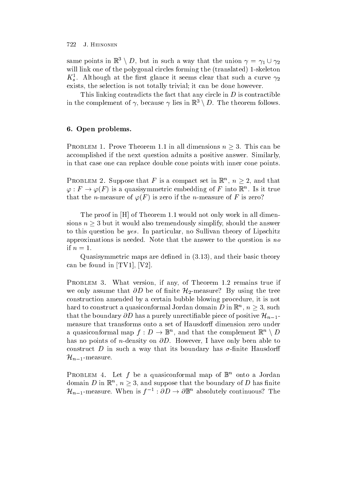same points in  $\mathbb{R}^3 \setminus D$ , but in such a way that the union  $\gamma = \gamma_1 \cup \gamma_2$ will like one of the polygonal circles forming the translated  $\mathbf{r}$  forming the translated  $\mathbf{r}$  $\mathbf{r}_s$ . Although at the first glance it seems clear that such a curve  $\gamma_2$ sexists, the selection is not totally trivial; it can be done however.

This linking contradicts the fact that any circle in  $D$  is contractible in the complement of  $\gamma$ , because  $\gamma$  lies in  $\mathbb{R}^3 \setminus D$ . The theorem follows.

# - Open problems-

PROBLEM 1. Prove Theorem 1.1 in all dimensions  $n \geq 3$ . This can be accomplished if the next question admits a positive answer. Similarly, in that case one can replace double cone points with inner cone points

PROBLEM 2. Suppose that F is a compact set in  $\mathbb{R}^n$ ,  $n \geq 2$ , and that  $\varphi: F \to \varphi(F)$  is a quasisymmetric embedding of F into  $\mathbb{K}^n$ . Is it true that the n-is zero if  $\mathbf{r}$  is zero if the n-is zero if the n-is zero if the n-is zero if the n-is zero if the n-is zero if the n-is zero if the n-is zero if the n-is zero if the n-is zero if the n-is zero if the n-is

The proof in  $[H]$  of Theorem 1.1 would not only work in all dimensions  $n \geq 3$  but it would also tremendously simplify, should the answer to this question be yes. In particular, no Sullivan theory of Lipschitz approximations is needed. Note that the answer to the question is no if  $n=1$ .

 $\mathbf{u}$  and the density maps are denoted in and the density of the state  $\mathbf{u}$ can be found in [TV1], [V2].

Problem V. Theorem is any of the problem and the community if  $\mathbb{R}^n$ we only assume that  $\partial D$  be of finite  $\mathcal{H}_2$ -measure? By using the tree construction amended by a certain bubble blowing procedure, it is not hard to construct a quasiconformal Jordan domain D in  $\mathbb{R}^n$ ,  $n \geq 3$ , such that the boundary  $\partial D$  has a purely unrectifiable piece of positive  $\mathcal{H}_{n-1}$ . measure that transforms onto a set of Hausdorff dimension zero under a quasiconformal map  $f: D \to \mathbb{B}^n$  , and that the complement  $\mathbb{R}^n \setminus D$ has no points of n-density on -D However I have only been able to communication of the such a way that its boundary has - the construction of the such as  $\sim$  $\mathcal{H}_{n-1}\text{-}\mathrm{measure}.$ 

PROBLEM 4. Let f be a quasiconformal map of b onto a Jordan domain D in  $\mathbb{R}^n$ ,  $n \geq 3$ , and suppose that the boundary of D has finite  $\mathcal{H}_{n-1}$ -measure. When is  $f^{-1}: \partial D \to \partial \mathbb{B}^n$  absolutely continuous? The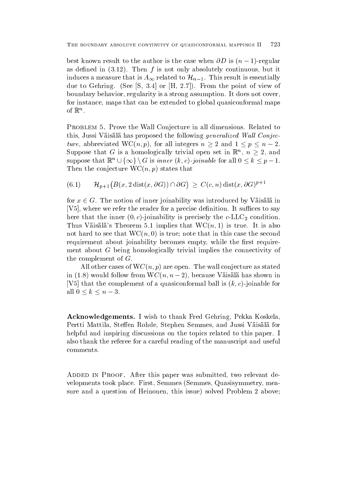best known result to the author is the case when  $\sigma \nu$  is  $(n - 1)$ -regular as denotes the final interval in the interval in the interval interval interval in the interval interval interval in induces a measure that is  $A_{\infty}$  related to  $\mathcal{H}_{n-1}$ . This result is essentially due to Gehring See S and the point of view of view of view of view of view of view of view of view of view of v boundary behavior, regularity is a strong assumption. It does not cover. for instance, maps that can be extended to global quasiconformal maps of  $\mathbb{R}$ .

Problem - Prove the Wall Conjecture in all dimensions Related to this, Jussi Väisälä has proposed the following *generalized Wall Conjec*ture, abbreviated WC(n, p), for all integers  $n \geq 2$  and  $1 \leq p \leq n-2$ . Suppose that G is a homologically trivial open set in  $\mathbb{R}^n$ ,  $n \geq 2$ , and suppose that  $\mathbb{R}^n\cup\{\infty\}\setminus G$  is *inner*  $(k, c)$ *-joinable* for all  $0\leq k\leq p-1$ . Then the conjecture  $T$  then the conjecture  $T$  and  $T$  problem that  $T$  is the conjecture  $T$  of  $T$  is that  $T$ 

 $(6.1)$  $\mathcal{H}_{p+1}(B(x, 2\operatorname{dist}(x, \partial G)) \cap \partial G) \ \geq \ C(c, n) \operatorname{dist}(x, \partial G)^{p+1}$ 

for  $x \in G$ . The notion of inner joinability was introduced by Väisälä in  $[V5]$ , where we refer the reader for a precise definition. It suffices to say  $\lambda = \lambda$  is the inner of the condition  $\mu$  is reconnected to  $\mu$ Thus It is the common and the Common State of the World in the World in the World in the World in the United States of the United States of the United States of the United States of the United States of the United States o not hard to see that WCn true note that we have the second to see that in this case that in this case the second requirement about joinability becomes empty, while the first requirement about G being homologically trivial implies the connectivity of the complement of  $G$ .

All other cases of WCn p are open The wall conjecture as stated III  $(1.0)$  would follow from  $W\cup (n, n-2)$ , because Vaisala has shown in V
that the complement of a quasiconformal ball is k c -joinable for all  $0 \leq k \leq n-3$ .

Acknowledgements- I wish to thank Fred Gehring Pekka Koskela Pertti Mattila, Steffen Rohde, Stephen Semmes, and Jussi Väisälä for helpful and inspiring discussions on the topics related to this paper. I also thank the referee for a careful reading of the manuscript and useful comments

added in Province, this paper was submitted to relevant the submitted to relevant the velopments took place. First, Semmes (Semmes, Quasisymmetry, measure and a question of Heinonen this issue solved Problem above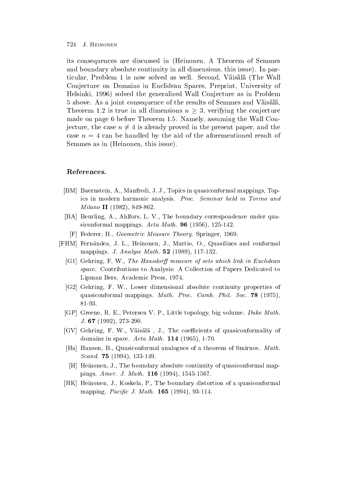its consequences are discussed in Heinonen A Theorem of Semmes and boundary absolute continuity in all dimensions the continuity in all dimensions that is no part of the con ticular, Problem 1 is now solved as well. Second, Väisälä (The Wall Conjecture on Domains in Euclidean Spaces Preprint University of . Helsinki is the generalized Wall Conjecture as in Problem as in Problem as in Problem as in Problem as in Problem as in Problem as in Problem as in Problem as in Problem as in Problem as in Problem as in Problem as in P 5 above. As a joint consequence of the results of Semmes and Väisälä, Theorem 1.2 is true in all dimensions  $n \geq 3$ , verifying the conjecture made on page 6 before Theorem 1.5. Namely, assuming the Wall Conjecture, the case  $n \neq 4$  is already proved in the present paper, and the case  $n = 4$  can be handled by the aid of the aforementioned result of Semmes as in Heinonen this issue

# References-

- [BM] Baernstein, A., Manfredi, J. J., Topics in quasiconformal mappings, Topics in the modern harmonic analysis Process Seminary (1999) and the seminar form and the seminar form of the s Milano II - -
- [BA] Beurling, A., Ahlfors, L. V., The boundary correspondence under quasinconformal mapping  $\mathcal{L}$  and  $\mathcal{L}$  and  $\mathcal{L}$  are  $\mathcal{L}$  and  $\mathcal{L}$  and  $\mathcal{L}$  are  $\mathcal{L}$  and  $\mathcal{L}$  and  $\mathcal{L}$  are  $\mathcal{L}$  and  $\mathcal{L}$  are  $\mathcal{L}$  and  $\mathcal{L}$  and  $\mathcal{L}$  are  $\mathcal{L}$  and  $\mathcal{$
- F Federer
H Geometric Measure Theory Springer
--
- [FHM] Fernández, J. L., Heinonen, J., Martio, O., Quasilines and conformal mappings J- Analyse Math- --
	- [G1] Gehring, F. W., The Hausdorff measure of sets which link in Euclidean space- Contributions to Analysis A Collection of Papers Dedicated to Lipman Bers Academic Press
	-
	- [G2] Gehring, F. W., Lower dimensional absolute continuity properties of quasiconformal mappings Mathematic County, County Math- (2001) (2002)
	- [GP] Greene, R. E., Petersen V. P., Little topology, big volume. Duke Math. J- -- -
	- [GV] Gehring, F. W., Väisälä, J., The coefficients of quasiconformality of domains in space Acta Math- -
	- [Ha] Hanson, B., Quasiconformal analogues of a theorem of Smirnov. Math. Scand- -- 
	 -
	- [H] Heinonen, J., The boundary absolute continuity of quasiconformal mappings for the second and the second property and an anti-
	- HK Heinonen
	J
	Koskela
	P
	The boundary distortion of a quasiconformal mapping Pacic J-Math- -- 
	-